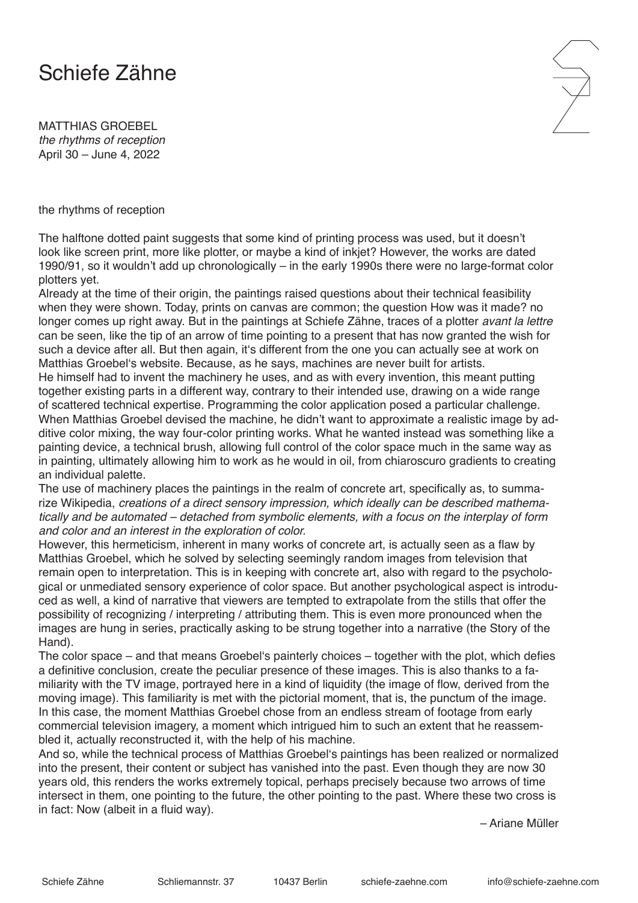## Schiefe Zähne

MATTHIAS GROEBEL *the rhythms of reception* April 30 – June 4, 2022

the rhythms of reception

The halftone dotted paint suggests that some kind of printing process was used, but it doesn't look like screen print, more like plotter, or maybe a kind of inkjet? However, the works are dated 1990/91, so it wouldn't add up chronologically – in the early 1990s there were no large-format color plotters yet.

Already at the time of their origin, the paintings raised questions about their technical feasibility when they were shown. Today, prints on canvas are common; the question How was it made? no longer comes up right away. But in the paintings at Schiefe Zähne, traces of a plotter *avant la lettre* can be seen, like the tip of an arrow of time pointing to a present that has now granted the wish for such a device after all. But then again, it's different from the one you can actually see at work on Matthias Groebel's website. Because, as he says, machines are never built for artists.

He himself had to invent the machinery he uses, and as with every invention, this meant putting together existing parts in a different way, contrary to their intended use, drawing on a wide range of scattered technical expertise. Programming the color application posed a particular challenge. When Matthias Groebel devised the machine, he didn't want to approximate a realistic image by additive color mixing, the way four-color printing works. What he wanted instead was something like a painting device, a technical brush, allowing full control of the color space much in the same way as in painting, ultimately allowing him to work as he would in oil, from chiaroscuro gradients to creating an individual palette.

The use of machinery places the paintings in the realm of concrete art, specifically as, to summarize Wikipedia, *creations of a direct sensory impression, which ideally can be described mathematically and be automated – detached from symbolic elements, with a focus on the interplay of form and color and an interest in the exploration of color.*

However, this hermeticism, inherent in many works of concrete art, is actually seen as a flaw by Matthias Groebel, which he solved by selecting seemingly random images from television that remain open to interpretation. This is in keeping with concrete art, also with regard to the psychological or unmediated sensory experience of color space. But another psychological aspect is introduced as well, a kind of narrative that viewers are tempted to extrapolate from the stills that offer the possibility of recognizing / interpreting / attributing them. This is even more pronounced when the images are hung in series, practically asking to be strung together into a narrative (the Story of the Hand).

The color space – and that means Groebel's painterly choices – together with the plot, which defies a definitive conclusion, create the peculiar presence of these images. This is also thanks to a familiarity with the TV image, portrayed here in a kind of liquidity (the image of flow, derived from the moving image). This familiarity is met with the pictorial moment, that is, the punctum of the image. In this case, the moment Matthias Groebel chose from an endless stream of footage from early commercial television imagery, a moment which intrigued him to such an extent that he reassembled it, actually reconstructed it, with the help of his machine.

And so, while the technical process of Matthias Groebel's paintings has been realized or normalized into the present, their content or subject has vanished into the past. Even though they are now 30 years old, this renders the works extremely topical, perhaps precisely because two arrows of time intersect in them, one pointing to the future, the other pointing to the past. Where these two cross is in fact: Now (albeit in a fluid way).

– Ariane Müller